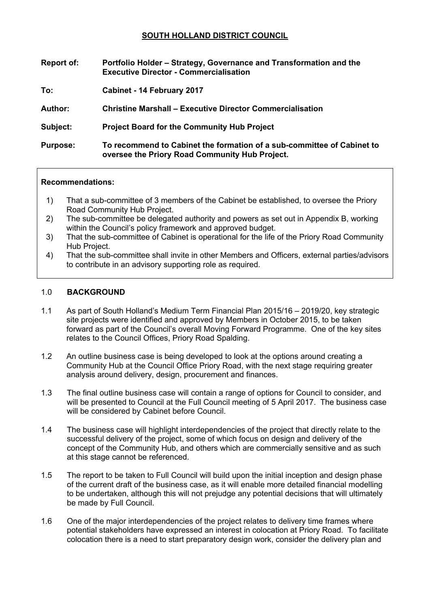## **SOUTH HOLLAND DISTRICT COUNCIL**

| <b>Report of:</b> | Portfolio Holder – Strategy, Governance and Transformation and the<br><b>Executive Director - Commercialisation</b>      |
|-------------------|--------------------------------------------------------------------------------------------------------------------------|
| To:               | Cabinet - 14 February 2017                                                                                               |
| Author:           | <b>Christine Marshall – Executive Director Commercialisation</b>                                                         |
| Subject:          | <b>Project Board for the Community Hub Project</b>                                                                       |
| <b>Purpose:</b>   | To recommend to Cabinet the formation of a sub-committee of Cabinet to<br>oversee the Priory Road Community Hub Project. |

#### **Recommendations:**

- 1) That a sub-committee of 3 members of the Cabinet be established, to oversee the Priory Road Community Hub Project.
- 2) The sub-committee be delegated authority and powers as set out in Appendix B, working within the Council's policy framework and approved budget.
- 3) That the sub-committee of Cabinet is operational for the life of the Priory Road Community Hub Project.
- 4) That the sub-committee shall invite in other Members and Officers, external parties/advisors to contribute in an advisory supporting role as required.

#### 1.0 **BACKGROUND**

- 1.1 As part of South Holland's Medium Term Financial Plan 2015/16 2019/20, key strategic site projects were identified and approved by Members in October 2015, to be taken forward as part of the Council's overall Moving Forward Programme. One of the key sites relates to the Council Offices, Priory Road Spalding.
- 1.2 An outline business case is being developed to look at the options around creating a Community Hub at the Council Office Priory Road, with the next stage requiring greater analysis around delivery, design, procurement and finances.
- 1.3 The final outline business case will contain a range of options for Council to consider, and will be presented to Council at the Full Council meeting of 5 April 2017. The business case will be considered by Cabinet before Council.
- 1.4 The business case will highlight interdependencies of the project that directly relate to the successful delivery of the project, some of which focus on design and delivery of the concept of the Community Hub, and others which are commercially sensitive and as such at this stage cannot be referenced.
- 1.5 The report to be taken to Full Council will build upon the initial inception and design phase of the current draft of the business case, as it will enable more detailed financial modelling to be undertaken, although this will not prejudge any potential decisions that will ultimately be made by Full Council.
- 1.6 One of the major interdependencies of the project relates to delivery time frames where potential stakeholders have expressed an interest in colocation at Priory Road. To facilitate colocation there is a need to start preparatory design work, consider the delivery plan and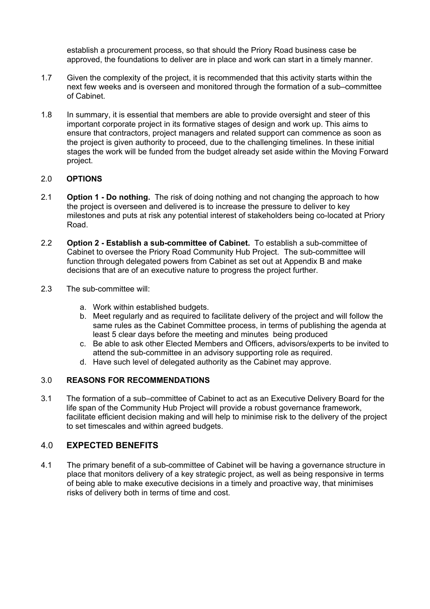establish a procurement process, so that should the Priory Road business case be approved, the foundations to deliver are in place and work can start in a timely manner.

- 1.7 Given the complexity of the project, it is recommended that this activity starts within the next few weeks and is overseen and monitored through the formation of a sub–committee of Cabinet.
- 1.8 In summary, it is essential that members are able to provide oversight and steer of this important corporate project in its formative stages of design and work up. This aims to ensure that contractors, project managers and related support can commence as soon as the project is given authority to proceed, due to the challenging timelines. In these initial stages the work will be funded from the budget already set aside within the Moving Forward project.

### 2.0 **OPTIONS**

- 2.1 **Option 1 - Do nothing.** The risk of doing nothing and not changing the approach to how the project is overseen and delivered is to increase the pressure to deliver to key milestones and puts at risk any potential interest of stakeholders being co-located at Priory Road.
- 2.2 **Option 2 - Establish a sub-committee of Cabinet.** To establish a sub-committee of Cabinet to oversee the Priory Road Community Hub Project. The sub-committee will function through delegated powers from Cabinet as set out at Appendix B and make decisions that are of an executive nature to progress the project further.
- 2.3 The sub-committee will:
	- a. Work within established budgets.
	- b. Meet regularly and as required to facilitate delivery of the project and will follow the same rules as the Cabinet Committee process, in terms of publishing the agenda at least 5 clear days before the meeting and minutes being produced
	- c. Be able to ask other Elected Members and Officers, advisors/experts to be invited to attend the sub-committee in an advisory supporting role as required.
	- d. Have such level of delegated authority as the Cabinet may approve.

## 3.0 **REASONS FOR RECOMMENDATIONS**

3.1 The formation of a sub–committee of Cabinet to act as an Executive Delivery Board for the life span of the Community Hub Project will provide a robust governance framework, facilitate efficient decision making and will help to minimise risk to the delivery of the project to set timescales and within agreed budgets.

## 4.0 **EXPECTED BENEFITS**

4.1 The primary benefit of a sub-committee of Cabinet will be having a governance structure in place that monitors delivery of a key strategic project, as well as being responsive in terms of being able to make executive decisions in a timely and proactive way, that minimises risks of delivery both in terms of time and cost.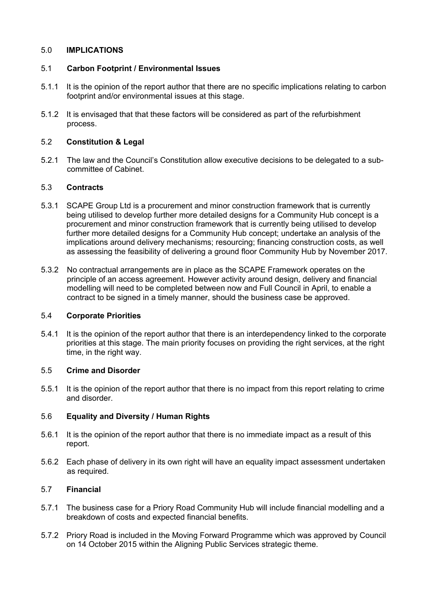#### 5.0 **IMPLICATIONS**

#### 5.1 **Carbon Footprint / Environmental Issues**

- 5.1.1 It is the opinion of the report author that there are no specific implications relating to carbon footprint and/or environmental issues at this stage.
- 5.1.2 It is envisaged that that these factors will be considered as part of the refurbishment process.

#### 5.2 **Constitution & Legal**

5.2.1 The law and the Council's Constitution allow executive decisions to be delegated to a subcommittee of Cabinet.

### 5.3 **Contracts**

- 5.3.1 SCAPE Group Ltd is a procurement and minor construction framework that is currently being utilised to develop further more detailed designs for a Community Hub concept is a procurement and minor construction framework that is currently being utilised to develop further more detailed designs for a Community Hub concept; undertake an analysis of the implications around delivery mechanisms; resourcing; financing construction costs, as well as assessing the feasibility of delivering a ground floor Community Hub by November 2017.
- 5.3.2 No contractual arrangements are in place as the SCAPE Framework operates on the principle of an access agreement. However activity around design, delivery and financial modelling will need to be completed between now and Full Council in April, to enable a contract to be signed in a timely manner, should the business case be approved.

#### 5.4 **Corporate Priorities**

5.4.1 It is the opinion of the report author that there is an interdependency linked to the corporate priorities at this stage. The main priority focuses on providing the right services, at the right time, in the right way.

#### 5.5 **Crime and Disorder**

5.5.1 It is the opinion of the report author that there is no impact from this report relating to crime and disorder.

### 5.6 **Equality and Diversity / Human Rights**

- 5.6.1 It is the opinion of the report author that there is no immediate impact as a result of this report.
- 5.6.2 Each phase of delivery in its own right will have an equality impact assessment undertaken as required.

### 5.7 **Financial**

- 5.7.1 The business case for a Priory Road Community Hub will include financial modelling and a breakdown of costs and expected financial benefits.
- 5.7.2 Priory Road is included in the Moving Forward Programme which was approved by Council on 14 October 2015 within the Aligning Public Services strategic theme.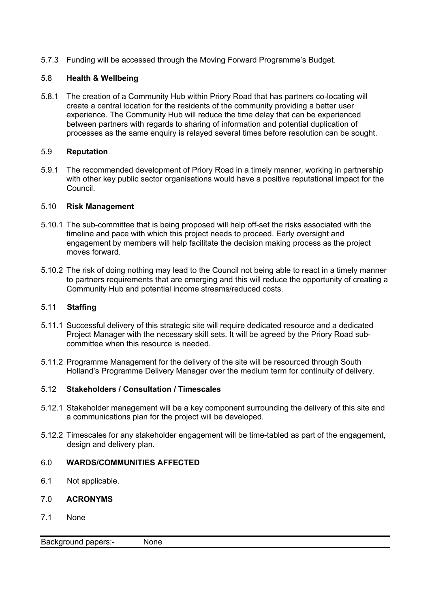5.7.3 Funding will be accessed through the Moving Forward Programme's Budget.

### 5.8 **Health & Wellbeing**

5.8.1 The creation of a Community Hub within Priory Road that has partners co-locating will create a central location for the residents of the community providing a better user experience. The Community Hub will reduce the time delay that can be experienced between partners with regards to sharing of information and potential duplication of processes as the same enquiry is relayed several times before resolution can be sought.

### 5.9 **Reputation**

5.9.1 The recommended development of Priory Road in a timely manner, working in partnership with other key public sector organisations would have a positive reputational impact for the Council.

### 5.10 **Risk Management**

- 5.10.1 The sub-committee that is being proposed will help off-set the risks associated with the timeline and pace with which this project needs to proceed. Early oversight and engagement by members will help facilitate the decision making process as the project moves forward.
- 5.10.2 The risk of doing nothing may lead to the Council not being able to react in a timely manner to partners requirements that are emerging and this will reduce the opportunity of creating a Community Hub and potential income streams/reduced costs.

### 5.11 **Staffing**

- 5.11.1 Successful delivery of this strategic site will require dedicated resource and a dedicated Project Manager with the necessary skill sets. It will be agreed by the Priory Road subcommittee when this resource is needed.
- 5.11.2 Programme Management for the delivery of the site will be resourced through South Holland's Programme Delivery Manager over the medium term for continuity of delivery.

## 5.12 **Stakeholders / Consultation / Timescales**

- 5.12.1 Stakeholder management will be a key component surrounding the delivery of this site and a communications plan for the project will be developed.
- 5.12.2 Timescales for any stakeholder engagement will be time-tabled as part of the engagement, design and delivery plan.

## 6.0 **WARDS/COMMUNITIES AFFECTED**

6.1 Not applicable.

### 7.0 **ACRONYMS**

7.1 None

Background papers:- None